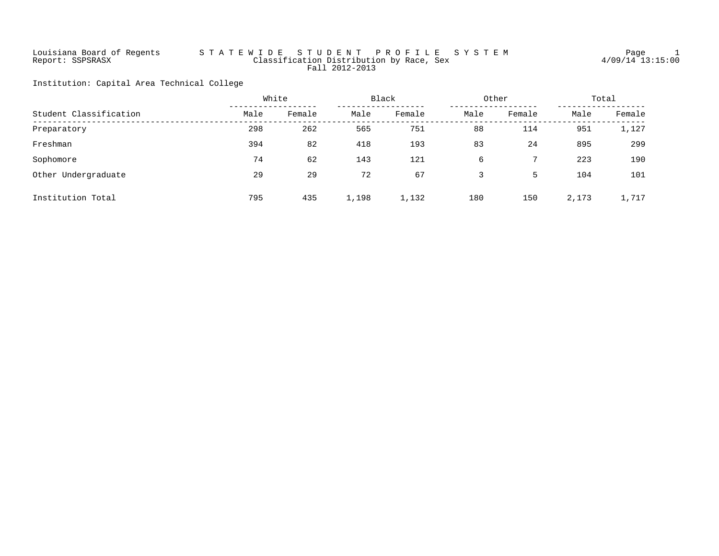# Louisiana Board of Regents S T A T E W I D E S T U D E N T P R O F I L E S Y S T E M Page 1 Report: SSPSRASX Classification Distribution by Race, Sex 4/09/14 13:15:00 Fall 2012-2013

Institution: Capital Area Technical College

|                        |      | White<br>Black<br>Other |       | Total  |      |        |       |        |
|------------------------|------|-------------------------|-------|--------|------|--------|-------|--------|
| Student Classification | Male | Female                  | Male  | Female | Male | Female | Male  | Female |
| Preparatory            | 298  | 262                     | 565   | 751    | 88   | 114    | 951   | 1,127  |
| Freshman               | 394  | 82                      | 418   | 193    | 83   | 24     | 895   | 299    |
| Sophomore              | 74   | 62                      | 143   | 121    | 6    |        | 223   | 190    |
| Other Undergraduate    | 29   | 29                      | 72    | 67     |      | 5      | 104   | 101    |
| Institution Total      | 795  | 435                     | 1,198 | 1,132  | 180  | 150    | 2,173 | 1,717  |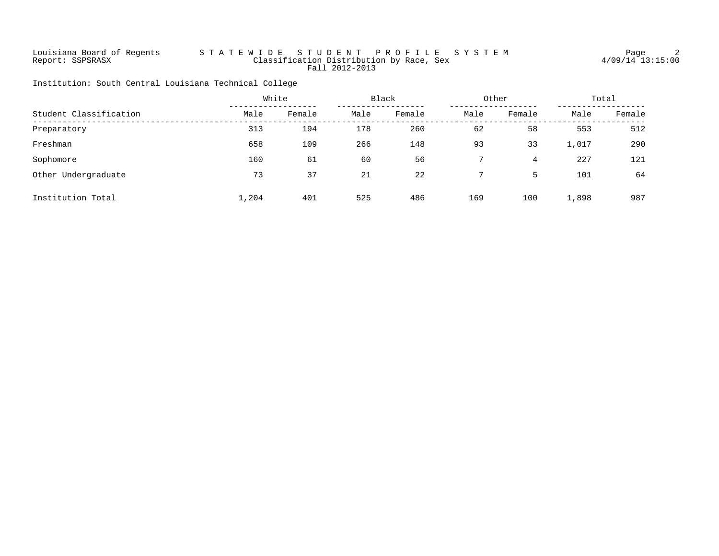# Louisiana Board of Regents S T A T E W I D E S T U D E N T P R O F I L E S Y S T E M Page 2 Report: SSPSRASX Classification Distribution by Race, Sex 4/09/14 13:15:00 Fall 2012-2013

Institution: South Central Louisiana Technical College

|                        |       | White  | Black<br>Other |        |      | Total  |       |        |
|------------------------|-------|--------|----------------|--------|------|--------|-------|--------|
| Student Classification | Male  | Female | Male           | Female | Male | Female | Male  | Female |
| Preparatory            | 313   | 194    | 178            | 260    | 62   | 58     | 553   | 512    |
| Freshman               | 658   | 109    | 266            | 148    | 93   | 33     | 1,017 | 290    |
| Sophomore              | 160   | 61     | 60             | 56     |      | 4      | 227   | 121    |
| Other Undergraduate    | 73    | 37     | 21             | 22     |      | 5      | 101   | 64     |
| Institution Total      | 1,204 | 401    | 525            | 486    | 169  | 100    | 1,898 | 987    |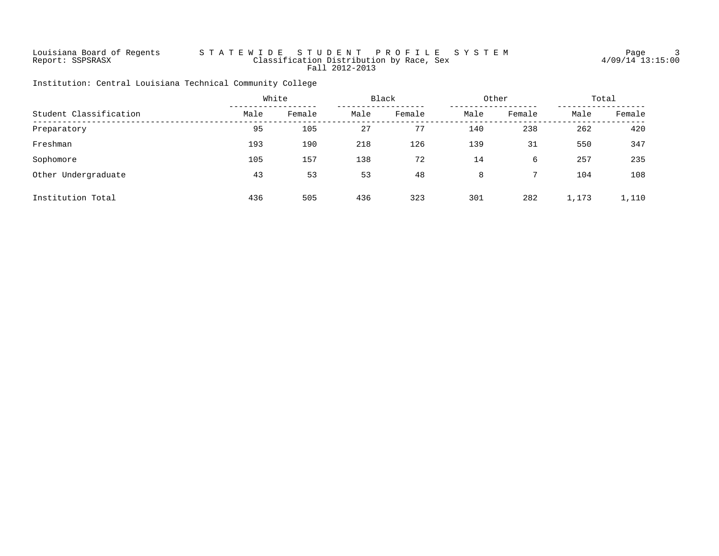# Louisiana Board of Regents S T A T E W I D E S T U D E N T P R O F I L E S Y S T E M Page 3 Report: SSPSRASX Classification Distribution by Race, Sex 4/09/14 13:15:00 Fall 2012-2013

Institution: Central Louisiana Technical Community College

|                        |      | Black<br>White |      |        | Other |        | Total |        |
|------------------------|------|----------------|------|--------|-------|--------|-------|--------|
| Student Classification | Male | Female         | Male | Female | Male  | Female | Male  | Female |
| Preparatory            | 95   | 105            | 27   | 77     | 140   | 238    | 262   | 420    |
| Freshman               | 193  | 190            | 218  | 126    | 139   | 31     | 550   | 347    |
| Sophomore              | 105  | 157            | 138  | 72     | 14    | 6      | 257   | 235    |
| Other Undergraduate    | 43   | 53             | 53   | 48     | 8     |        | 104   | 108    |
| Institution Total      | 436  | 505            | 436  | 323    | 301   | 282    | 1,173 | 1,110  |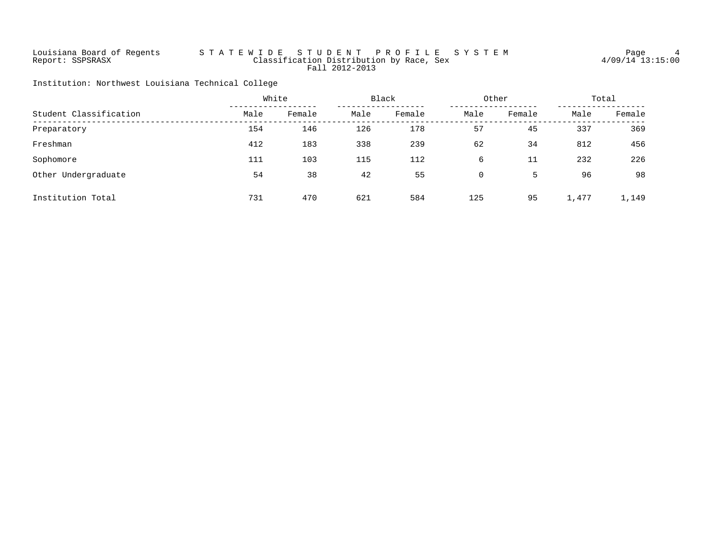# Louisiana Board of Regents S T A T E W I D E S T U D E N T P R O F I L E S Y S T E M Page 4 Report: SSPSRASX Classification Distribution by Race, Sex 4/09/14 13:15:00 Fall 2012-2013

Institution: Northwest Louisiana Technical College

|                        |      | White<br>Black |      |        | Other | Total  |       |        |
|------------------------|------|----------------|------|--------|-------|--------|-------|--------|
| Student Classification | Male | Female         | Male | Female | Male  | Female | Male  | Female |
| Preparatory            | 154  | 146            | 126  | 178    | 57    | 45     | 337   | 369    |
| Freshman               | 412  | 183            | 338  | 239    | 62    | 34     | 812   | 456    |
| Sophomore              | 111  | 103            | 115  | 112    | 6     | 11     | 232   | 226    |
| Other Undergraduate    | 54   | 38             | 42   | 55     | 0     | 5      | 96    | 98     |
| Institution Total      | 731  | 470            | 621  | 584    | 125   | 95     | 1,477 | 1,149  |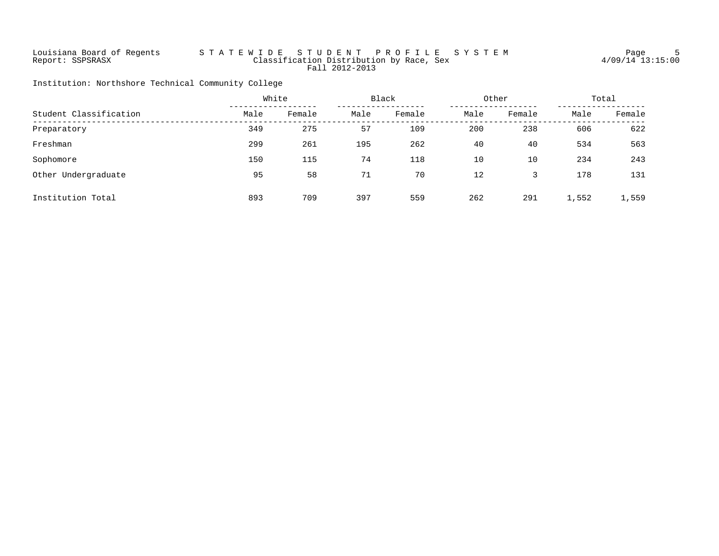# Louisiana Board of Regents S T A T E W I D E S T U D E N T P R O F I L E S Y S T E M Page 5 Report: SSPSRASX Classification Distribution by Race, Sex 4/09/14 13:15:00 Fall 2012-2013

Institution: Northshore Technical Community College

|                        |      | White<br>Black<br>Other |      | Total  |      |        |       |        |
|------------------------|------|-------------------------|------|--------|------|--------|-------|--------|
| Student Classification | Male | Female                  | Male | Female | Male | Female | Male  | Female |
| Preparatory            | 349  | 275                     | 57   | 109    | 200  | 238    | 606   | 622    |
| Freshman               | 299  | 261                     | 195  | 262    | 40   | 40     | 534   | 563    |
| Sophomore              | 150  | 115                     | 74   | 118    | 10   | 10     | 234   | 243    |
| Other Undergraduate    | 95   | 58                      | 71   | 70     | 12   |        | 178   | 131    |
| Institution Total      | 893  | 709                     | 397  | 559    | 262  | 291    | 1,552 | 1,559  |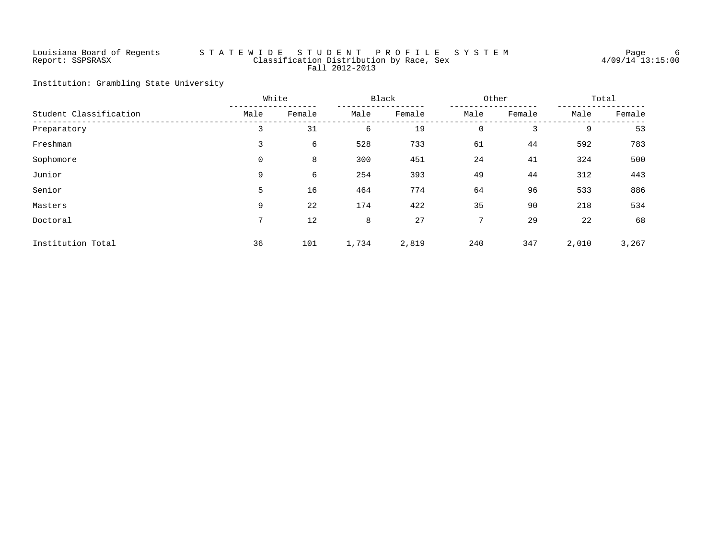# Louisiana Board of Regents S T A T E W I D E S T U D E N T P R O F I L E S Y S T E M Page 6 Report: SSPSRASX Classification Distribution by Race, Sex 4/09/14 13:15:00 Fall 2012-2013

Institution: Grambling State University

|                        | White<br>Black  |        | Other |        |             | Total  |       |        |
|------------------------|-----------------|--------|-------|--------|-------------|--------|-------|--------|
| Student Classification | Male            | Female | Male  | Female | Male        | Female | Male  | Female |
| Preparatory            | 3               | 31     | 6     | 19     | $\mathbf 0$ | 3      | 9     | 53     |
| Freshman               | 3               | 6      | 528   | 733    | 61          | 44     | 592   | 783    |
| Sophomore              | 0               | 8      | 300   | 451    | 24          | 41     | 324   | 500    |
| Junior                 | 9               | 6      | 254   | 393    | 49          | 44     | 312   | 443    |
| Senior                 | 5               | 16     | 464   | 774    | 64          | 96     | 533   | 886    |
| Masters                | 9               | 22     | 174   | 422    | 35          | 90     | 218   | 534    |
| Doctoral               | $7\overline{ }$ | 12     | 8     | 27     | 7           | 29     | 22    | 68     |
| Institution Total      | 36              | 101    | 1,734 | 2,819  | 240         | 347    | 2,010 | 3,267  |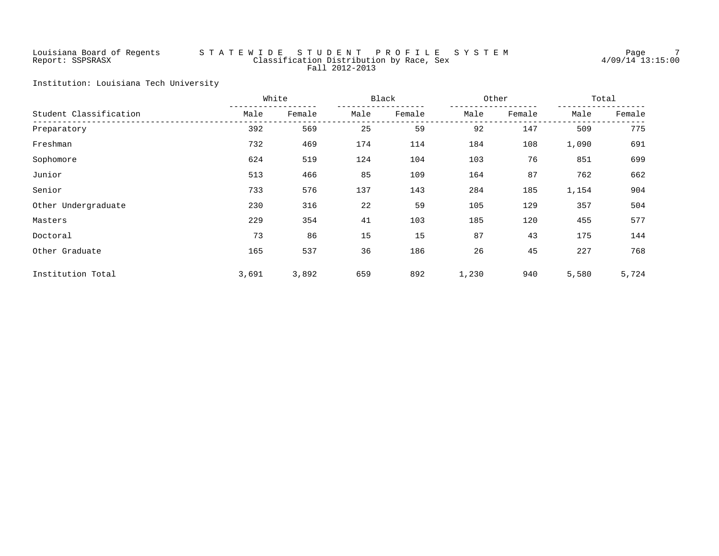# Louisiana Board of Regents S T A T E W I D E S T U D E N T P R O F I L E S Y S T E M Page 7 Report: SSPSRASX Classification Distribution by Race, Sex 4/09/14 13:15:00 Fall 2012-2013

Institution: Louisiana Tech University

|                        |       | White<br>Black |      |        | Other | Total  |       |        |
|------------------------|-------|----------------|------|--------|-------|--------|-------|--------|
| Student Classification | Male  | Female         | Male | Female | Male  | Female | Male  | Female |
| Preparatory            | 392   | 569            | 25   | 59     | 92    | 147    | 509   | 775    |
| Freshman               | 732   | 469            | 174  | 114    | 184   | 108    | 1,090 | 691    |
| Sophomore              | 624   | 519            | 124  | 104    | 103   | 76     | 851   | 699    |
| Junior                 | 513   | 466            | 85   | 109    | 164   | 87     | 762   | 662    |
| Senior                 | 733   | 576            | 137  | 143    | 284   | 185    | 1,154 | 904    |
| Other Undergraduate    | 230   | 316            | 22   | 59     | 105   | 129    | 357   | 504    |
| Masters                | 229   | 354            | 41   | 103    | 185   | 120    | 455   | 577    |
| Doctoral               | 73    | 86             | 15   | 15     | 87    | 43     | 175   | 144    |
| Other Graduate         | 165   | 537            | 36   | 186    | 26    | 45     | 227   | 768    |
| Institution Total      | 3,691 | 3,892          | 659  | 892    | 1,230 | 940    | 5,580 | 5,724  |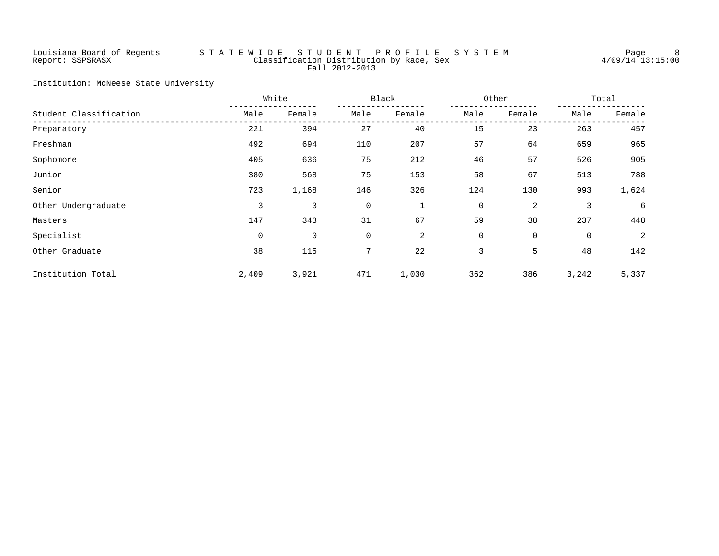# Louisiana Board of Regents S T A T E W I D E S T U D E N T P R O F I L E S Y S T E M Page 8 Report: SSPSRASX Classification Distribution by Race, Sex 4/09/14 13:15:00 Fall 2012-2013

Institution: McNeese State University

|                        |       | White  | Black       |        |      | Other        |       | Total  |  |
|------------------------|-------|--------|-------------|--------|------|--------------|-------|--------|--|
| Student Classification | Male  | Female | Male        | Female | Male | Female       | Male  | Female |  |
| Preparatory            | 221   | 394    | 27          | 40     | 15   | 23           | 263   | 457    |  |
| Freshman               | 492   | 694    | 110         | 207    | 57   | 64           | 659   | 965    |  |
| Sophomore              | 405   | 636    | 75          | 212    | 46   | 57           | 526   | 905    |  |
| Junior                 | 380   | 568    | 75          | 153    | 58   | 67           | 513   | 788    |  |
| Senior                 | 723   | 1,168  | 146         | 326    | 124  | 130          | 993   | 1,624  |  |
| Other Undergraduate    | 3     | 3      | 0           | 1      | 0    | 2            | 3     | 6      |  |
| Masters                | 147   | 343    | 31          | 67     | 59   | 38           | 237   | 448    |  |
| Specialist             | 0     | 0      | 0           | 2      | 0    | $\mathsf{O}$ | 0     | 2      |  |
| Other Graduate         | 38    | 115    | $7^{\circ}$ | 22     | 3    | 5            | 48    | 142    |  |
| Institution Total      | 2,409 | 3,921  | 471         | 1,030  | 362  | 386          | 3,242 | 5,337  |  |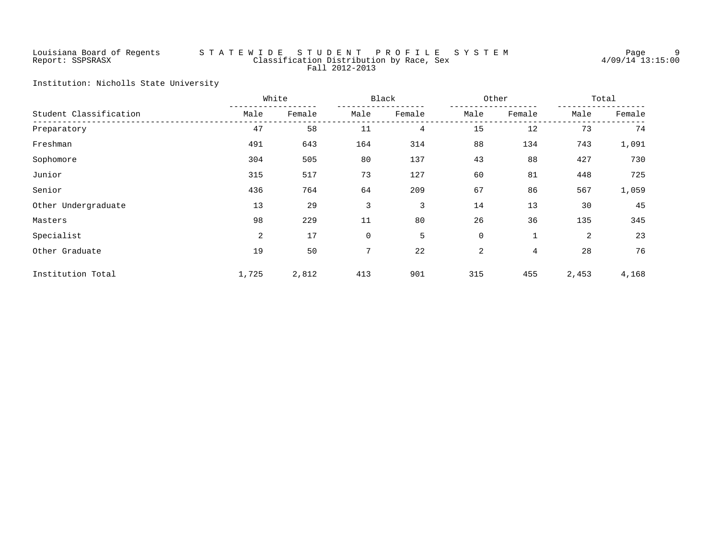# Louisiana Board of Regents S T A T E W I D E S T U D E N T P R O F I L E S Y S T E M Page 9 Report: SSPSRASX Classification Distribution by Race, Sex 4/09/14 13:15:00 Fall 2012-2013

Institution: Nicholls State University

|                        |       | White  | Black |        |             | Other       |       | Total  |  |
|------------------------|-------|--------|-------|--------|-------------|-------------|-------|--------|--|
| Student Classification | Male  | Female | Male  | Female | Male        | Female      | Male  | Female |  |
| Preparatory            | 47    | 58     | 11    | 4      | 15          | 12          | 73    | 74     |  |
| Freshman               | 491   | 643    | 164   | 314    | 88          | 134         | 743   | 1,091  |  |
| Sophomore              | 304   | 505    | 80    | 137    | 43          | 88          | 427   | 730    |  |
| Junior                 | 315   | 517    | 73    | 127    | 60          | 81          | 448   | 725    |  |
| Senior                 | 436   | 764    | 64    | 209    | 67          | 86          | 567   | 1,059  |  |
| Other Undergraduate    | 13    | 29     | 3     | 3      | 14          | 13          | 30    | 45     |  |
| Masters                | 98    | 229    | 11    | 80     | 26          | 36          | 135   | 345    |  |
| Specialist             | 2     | 17     | 0     | 5      | $\mathbf 0$ | $\mathbf 1$ | 2     | 23     |  |
| Other Graduate         | 19    | 50     | 7     | 22     | 2           | 4           | 28    | 76     |  |
| Institution Total      | 1,725 | 2,812  | 413   | 901    | 315         | 455         | 2,453 | 4,168  |  |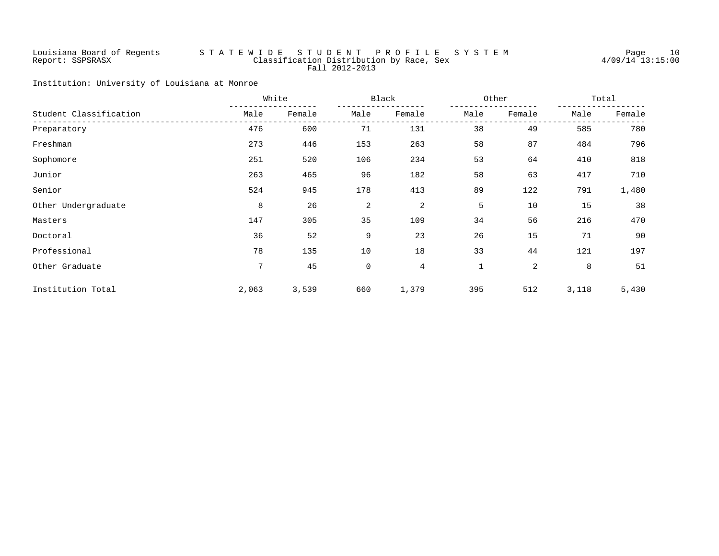# Louisiana Board of Regents S T A T E W I D E S T U D E N T P R O F I L E S Y S T E M Page 10 Report: SSPSRASX Classification Distribution by Race, Sex 4/09/14 13:15:00 Fall 2012-2013

Institution: University of Louisiana at Monroe

|                        |                 | White<br>Black |             |        | Other        |        |       | Total  |  |
|------------------------|-----------------|----------------|-------------|--------|--------------|--------|-------|--------|--|
| Student Classification | Male            | Female         | Male        | Female | Male         | Female | Male  | Female |  |
| Preparatory            | 476             | 600            | 71          | 131    | 38           | 49     | 585   | 780    |  |
| Freshman               | 273             | 446            | 153         | 263    | 58           | 87     | 484   | 796    |  |
| Sophomore              | 251             | 520            | 106         | 234    | 53           | 64     | 410   | 818    |  |
| Junior                 | 263             | 465            | 96          | 182    | 58           | 63     | 417   | 710    |  |
| Senior                 | 524             | 945            | 178         | 413    | 89           | 122    | 791   | 1,480  |  |
| Other Undergraduate    | 8               | 26             | 2           | 2      | 5            | 10     | 15    | 38     |  |
| Masters                | 147             | 305            | 35          | 109    | 34           | 56     | 216   | 470    |  |
| Doctoral               | 36              | 52             | 9           | 23     | 26           | 15     | 71    | 90     |  |
| Professional           | 78              | 135            | 10          | 18     | 33           | 44     | 121   | 197    |  |
| Other Graduate         | $7\overline{ }$ | 45             | $\mathbf 0$ | 4      | $\mathbf{1}$ | 2      | 8     | 51     |  |
| Institution Total      | 2,063           | 3,539          | 660         | 1,379  | 395          | 512    | 3,118 | 5,430  |  |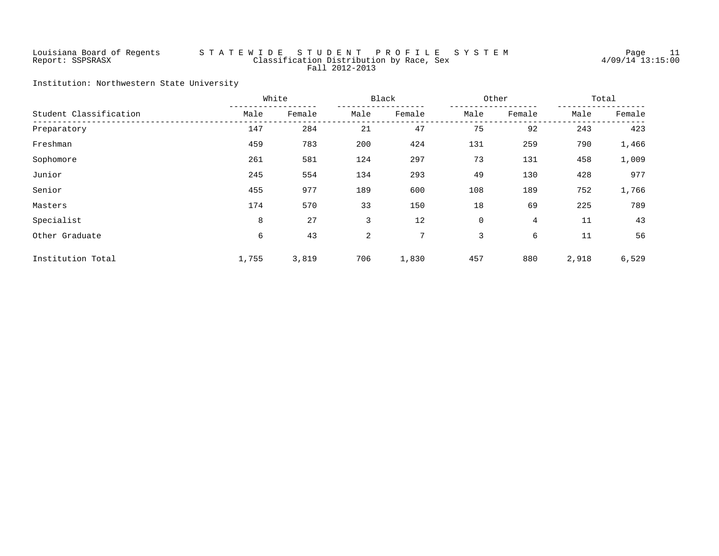# Louisiana Board of Regents S T A T E W I D E S T U D E N T P R O F I L E S Y S T E M Page 11 Report: SSPSRASX Classification Distribution by Race, Sex 4/09/14 13:15:00 Fall 2012-2013

Institution: Northwestern State University

|                        |       | White  | Black |        | Other |        | Total |        |
|------------------------|-------|--------|-------|--------|-------|--------|-------|--------|
| Student Classification | Male  | Female | Male  | Female | Male  | Female | Male  | Female |
| Preparatory            | 147   | 284    | 21    | 47     | 75    | 92     | 243   | 423    |
| Freshman               | 459   | 783    | 200   | 424    | 131   | 259    | 790   | 1,466  |
| Sophomore              | 261   | 581    | 124   | 297    | 73    | 131    | 458   | 1,009  |
| Junior                 | 245   | 554    | 134   | 293    | 49    | 130    | 428   | 977    |
| Senior                 | 455   | 977    | 189   | 600    | 108   | 189    | 752   | 1,766  |
| Masters                | 174   | 570    | 33    | 150    | 18    | 69     | 225   | 789    |
| Specialist             | 8     | 27     | 3     | 12     | 0     | 4      | 11    | 43     |
| Other Graduate         | б     | 43     | 2     | 7      | 3     | 6      | 11    | 56     |
| Institution Total      | 1,755 | 3,819  | 706   | 1,830  | 457   | 880    | 2,918 | 6,529  |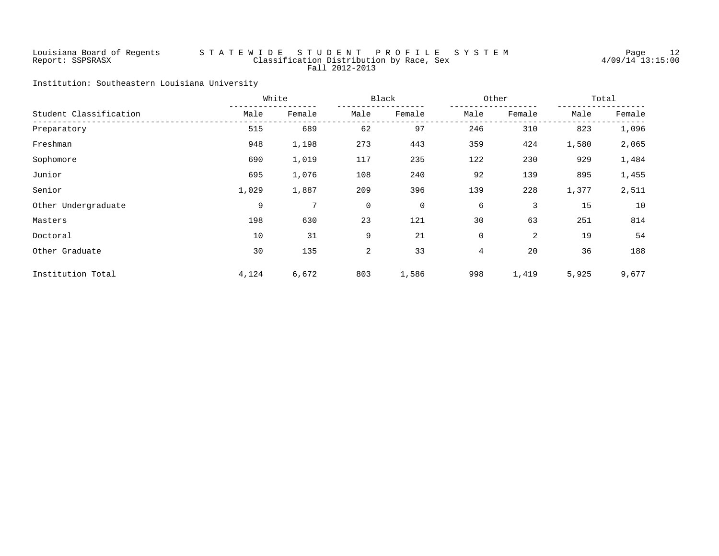# Louisiana Board of Regents S T A T E W I D E S T U D E N T P R O F I L E S Y S T E M Page 12 Report: SSPSRASX Classification Distribution by Race, Sex 4/09/14 13:15:00 Fall 2012-2013

Institution: Southeastern Louisiana University

|                        |       | White  | Black |        |      | Other  |       | Total  |  |
|------------------------|-------|--------|-------|--------|------|--------|-------|--------|--|
| Student Classification | Male  | Female | Male  | Female | Male | Female | Male  | Female |  |
| Preparatory            | 515   | 689    | 62    | 97     | 246  | 310    | 823   | 1,096  |  |
| Freshman               | 948   | 1,198  | 273   | 443    | 359  | 424    | 1,580 | 2,065  |  |
| Sophomore              | 690   | 1,019  | 117   | 235    | 122  | 230    | 929   | 1,484  |  |
| Junior                 | 695   | 1,076  | 108   | 240    | 92   | 139    | 895   | 1,455  |  |
| Senior                 | 1,029 | 1,887  | 209   | 396    | 139  | 228    | 1,377 | 2,511  |  |
| Other Undergraduate    | 9     | 7      | 0     | 0      | 6    | 3      | 15    | 10     |  |
| Masters                | 198   | 630    | 23    | 121    | 30   | 63     | 251   | 814    |  |
| Doctoral               | 10    | 31     | 9     | 21     | 0    | 2      | 19    | 54     |  |
| Other Graduate         | 30    | 135    | 2     | 33     | 4    | 20     | 36    | 188    |  |
| Institution Total      | 4,124 | 6,672  | 803   | 1,586  | 998  | 1,419  | 5,925 | 9,677  |  |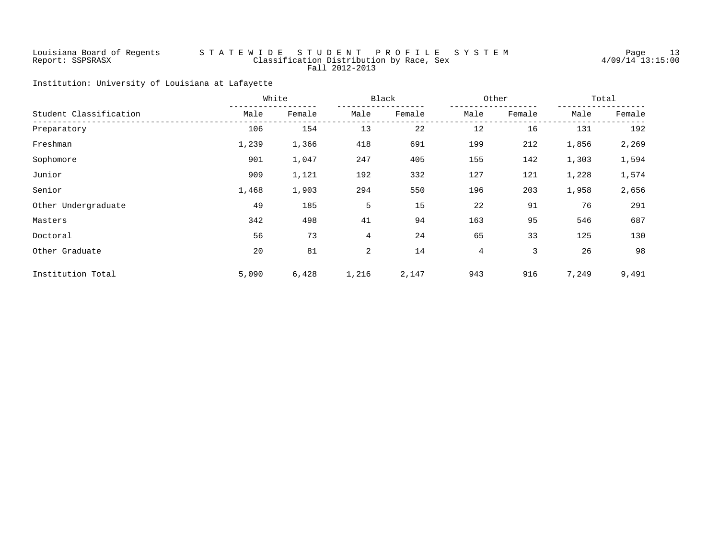# Louisiana Board of Regents S T A T E W I D E S T U D E N T P R O F I L E S Y S T E M Page 13 Report: SSPSRASX Classification Distribution by Race, Sex 4/09/14 13:15:00 Fall 2012-2013

Institution: University of Louisiana at Lafayette

|                        |       | White  | Black |        | Other          |        | Total |        |
|------------------------|-------|--------|-------|--------|----------------|--------|-------|--------|
| Student Classification | Male  | Female | Male  | Female | Male           | Female | Male  | Female |
| Preparatory            | 106   | 154    | 13    | 22     | 12             | 16     | 131   | 192    |
| Freshman               | 1,239 | 1,366  | 418   | 691    | 199            | 212    | 1,856 | 2,269  |
| Sophomore              | 901   | 1,047  | 247   | 405    | 155            | 142    | 1,303 | 1,594  |
| Junior                 | 909   | 1,121  | 192   | 332    | 127            | 121    | 1,228 | 1,574  |
| Senior                 | 1,468 | 1,903  | 294   | 550    | 196            | 203    | 1,958 | 2,656  |
| Other Undergraduate    | 49    | 185    | 5     | 15     | 22             | 91     | 76    | 291    |
| Masters                | 342   | 498    | 41    | 94     | 163            | 95     | 546   | 687    |
| Doctoral               | 56    | 73     | 4     | 24     | 65             | 33     | 125   | 130    |
| Other Graduate         | 20    | 81     | 2     | 14     | $\overline{4}$ | 3      | 26    | 98     |
| Institution Total      | 5,090 | 6,428  | 1,216 | 2,147  | 943            | 916    | 7,249 | 9,491  |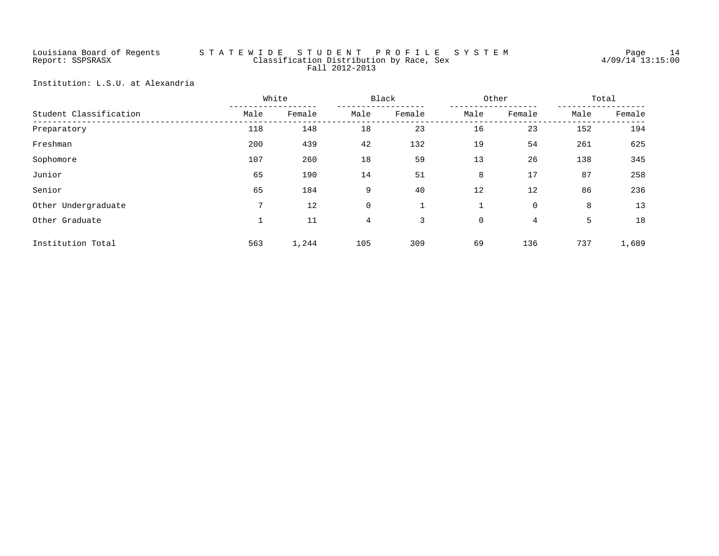# Louisiana Board of Regents S T A T E W I D E S T U D E N T P R O F I L E S Y S T E M Page 14 Report: SSPSRASX Classification Distribution by Race, Sex 4/09/14 13:15:00 Fall 2012-2013

Institution: L.S.U. at Alexandria

|                        | White<br>Black |        |             | Other  |             | Total       |      |        |
|------------------------|----------------|--------|-------------|--------|-------------|-------------|------|--------|
| Student Classification | Male           | Female | Male        | Female | Male        | Female      | Male | Female |
| Preparatory            | 118            | 148    | 18          | 23     | 16          | 23          | 152  | 194    |
| Freshman               | 200            | 439    | 42          | 132    | 19          | 54          | 261  | 625    |
| Sophomore              | 107            | 260    | 18          | 59     | 13          | 26          | 138  | 345    |
| Junior                 | 65             | 190    | 14          | 51     | 8           | 17          | 87   | 258    |
| Senior                 | 65             | 184    | 9           | 40     | 12          | 12          | 86   | 236    |
| Other Undergraduate    | 7              | 12     | $\mathbf 0$ |        |             | $\mathbf 0$ | 8    | 13     |
| Other Graduate         |                | 11     | 4           | 3      | $\mathbf 0$ | 4           | 5    | 18     |
| Institution Total      | 563            | 1,244  | 105         | 309    | 69          | 136         | 737  | 1,689  |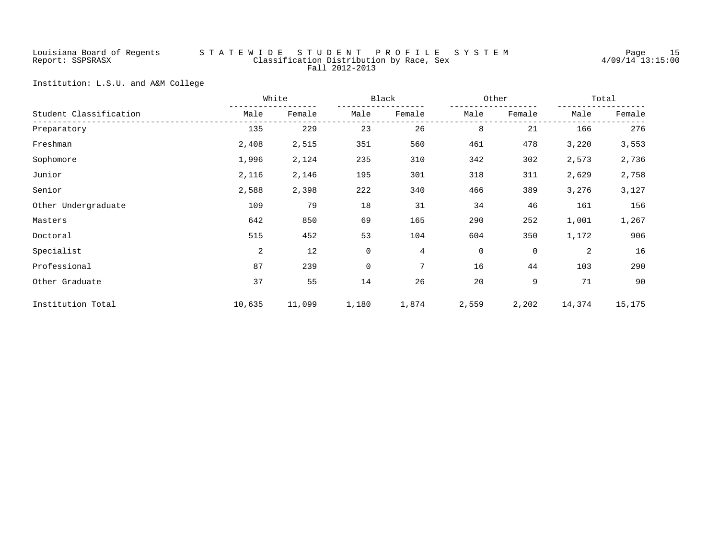# Louisiana Board of Regents S T A T E W I D E S T U D E N T P R O F I L E S Y S T E M Page 15 Report: SSPSRASX Classification Distribution by Race, Sex 4/09/14 13:15:00 Fall 2012-2013

Institution: L.S.U. and A&M College

|                        |        | White  | Black |        | Other          |             | Total  |        |
|------------------------|--------|--------|-------|--------|----------------|-------------|--------|--------|
| Student Classification | Male   | Female | Male  | Female | Male           | Female      | Male   | Female |
| Preparatory            | 135    | 229    | 23    | 26     | 8              | 21          | 166    | 276    |
| Freshman               | 2,408  | 2,515  | 351   | 560    | 461            | 478         | 3,220  | 3,553  |
| Sophomore              | 1,996  | 2,124  | 235   | 310    | 342            | 302         | 2,573  | 2,736  |
| Junior                 | 2,116  | 2,146  | 195   | 301    | 318            | 311         | 2,629  | 2,758  |
| Senior                 | 2,588  | 2,398  | 222   | 340    | 466            | 389         | 3,276  | 3,127  |
| Other Undergraduate    | 109    | 79     | 18    | 31     | 34             | 46          | 161    | 156    |
| Masters                | 642    | 850    | 69    | 165    | 290            | 252         | 1,001  | 1,267  |
| Doctoral               | 515    | 452    | 53    | 104    | 604            | 350         | 1,172  | 906    |
| Specialist             | 2      | 12     | 0     | 4      | $\overline{0}$ | $\mathbf 0$ | 2      | 16     |
| Professional           | 87     | 239    | 0     | 7      | 16             | 44          | 103    | 290    |
| Other Graduate         | 37     | 55     | 14    | 26     | 20             | 9           | 71     | 90     |
| Institution Total      | 10,635 | 11,099 | 1,180 | 1,874  | 2,559          | 2,202       | 14,374 | 15,175 |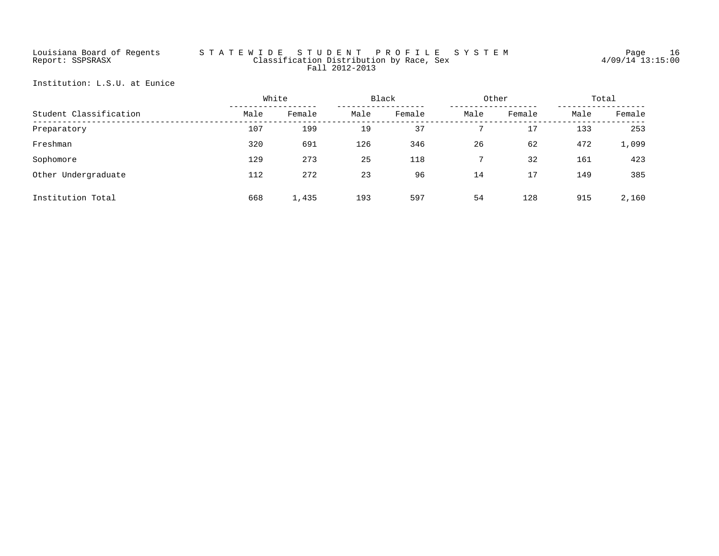# Louisiana Board of Regents S T A T E W I D E S T U D E N T P R O F I L E S Y S T E M Page 16 Report: SSPSRASX Classification Distribution by Race, Sex 4/09/14 13:15:00 Fall 2012-2013

Institution: L.S.U. at Eunice

|                        |      | White  | Black<br>Other |        |      | Total  |      |        |
|------------------------|------|--------|----------------|--------|------|--------|------|--------|
| Student Classification | Male | Female | Male           | Female | Male | Female | Male | Female |
| Preparatory            | 107  | 199    | 19             | 37     |      | 17     | 133  | 253    |
| Freshman               | 320  | 691    | 126            | 346    | 26   | 62     | 472  | 1,099  |
| Sophomore              | 129  | 273    | 25             | 118    |      | 32     | 161  | 423    |
| Other Undergraduate    | 112  | 272    | 23             | 96     | 14   | 17     | 149  | 385    |
| Institution Total      | 668  | 1,435  | 193            | 597    | 54   | 128    | 915  | 2,160  |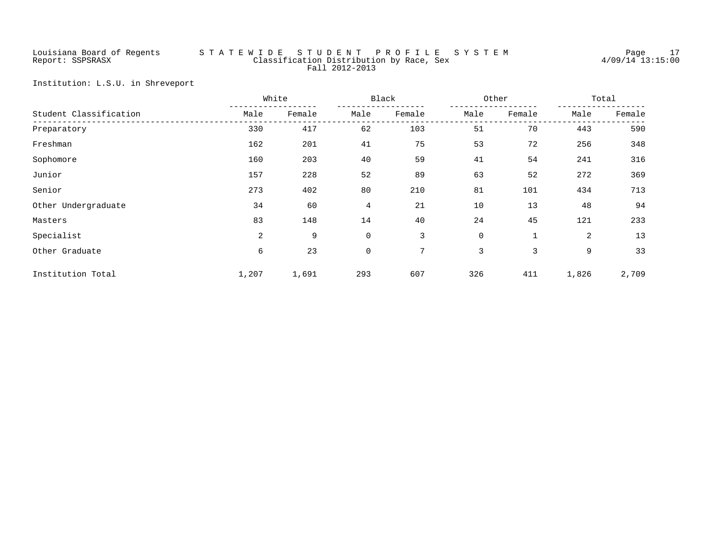# Louisiana Board of Regents S T A T E W I D E S T U D E N T P R O F I L E S Y S T E M Page 17 Report: SSPSRASX Classification Distribution by Race, Sex 4/09/14 13:15:00 Fall 2012-2013

Institution: L.S.U. in Shreveport

|                        |       | White<br>Black |             |        | Other       | Total        |                |        |
|------------------------|-------|----------------|-------------|--------|-------------|--------------|----------------|--------|
| Student Classification | Male  | Female         | Male        | Female | Male        | Female       | Male           | Female |
| Preparatory            | 330   | 417            | 62          | 103    | 51          | 70           | 443            | 590    |
| Freshman               | 162   | 201            | 41          | 75     | 53          | 72           | 256            | 348    |
| Sophomore              | 160   | 203            | 40          | 59     | 41          | 54           | 241            | 316    |
| Junior                 | 157   | 228            | 52          | 89     | 63          | 52           | 272            | 369    |
| Senior                 | 273   | 402            | 80          | 210    | 81          | 101          | 434            | 713    |
| Other Undergraduate    | 34    | 60             | 4           | 21     | 10          | 13           | 48             | 94     |
| Masters                | 83    | 148            | 14          | 40     | 24          | 45           | 121            | 233    |
| Specialist             | 2     | 9              | $\mathbf 0$ | 3      | $\mathbf 0$ | $\mathbf{1}$ | $\overline{2}$ | 13     |
| Other Graduate         | 6     | 23             | 0           | 7      | 3           | 3            | 9              | 33     |
| Institution Total      | 1,207 | 1,691          | 293         | 607    | 326         | 411          | 1,826          | 2,709  |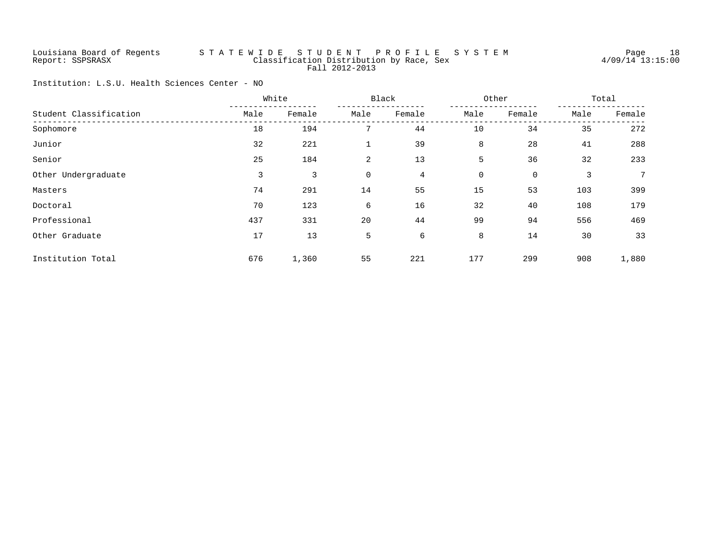# Louisiana Board of Regents S T A T E W I D E S T U D E N T P R O F I L E S Y S T E M Page 18 Report: SSPSRASX Classification Distribution by Race, Sex 4/09/14 13:15:00 Fall 2012-2013

Institution: L.S.U. Health Sciences Center - NO

|                        |      | White  | Black |        |             | Other  |      | Total  |  |
|------------------------|------|--------|-------|--------|-------------|--------|------|--------|--|
| Student Classification | Male | Female | Male  | Female | Male        | Female | Male | Female |  |
| Sophomore              | 18   | 194    | 7     | 44     | 10          | 34     | 35   | 272    |  |
| Junior                 | 32   | 221    |       | 39     | 8           | 28     | 41   | 288    |  |
| Senior                 | 25   | 184    | 2     | 13     | 5           | 36     | 32   | 233    |  |
| Other Undergraduate    | 3    | 3      | 0     | 4      | $\mathbf 0$ | 0      | 3    | 7      |  |
| Masters                | 74   | 291    | 14    | 55     | 15          | 53     | 103  | 399    |  |
| Doctoral               | 70   | 123    | 6     | 16     | 32          | 40     | 108  | 179    |  |
| Professional           | 437  | 331    | 20    | 44     | 99          | 94     | 556  | 469    |  |
| Other Graduate         | 17   | 13     | 5     | 6      | 8           | 14     | 30   | 33     |  |
| Institution Total      | 676  | 1,360  | 55    | 221    | 177         | 299    | 908  | 1,880  |  |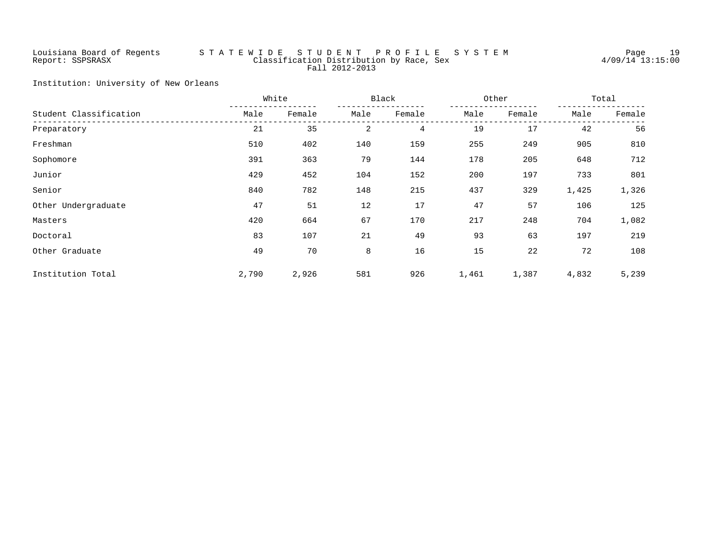# Louisiana Board of Regents S T A T E W I D E S T U D E N T P R O F I L E S Y S T E M Page 19 Report: SSPSRASX Classification Distribution by Race, Sex 4/09/14 13:15:00 Fall 2012-2013

Institution: University of New Orleans

|                        |       | White<br>Black |      |        | Other | Total  |       |        |
|------------------------|-------|----------------|------|--------|-------|--------|-------|--------|
| Student Classification | Male  | Female         | Male | Female | Male  | Female | Male  | Female |
| Preparatory            | 21    | 35             | 2    | 4      | 19    | 17     | 42    | 56     |
| Freshman               | 510   | 402            | 140  | 159    | 255   | 249    | 905   | 810    |
| Sophomore              | 391   | 363            | 79   | 144    | 178   | 205    | 648   | 712    |
| Junior                 | 429   | 452            | 104  | 152    | 200   | 197    | 733   | 801    |
| Senior                 | 840   | 782            | 148  | 215    | 437   | 329    | 1,425 | 1,326  |
| Other Undergraduate    | 47    | 51             | 12   | 17     | 47    | 57     | 106   | 125    |
| Masters                | 420   | 664            | 67   | 170    | 217   | 248    | 704   | 1,082  |
| Doctoral               | 83    | 107            | 21   | 49     | 93    | 63     | 197   | 219    |
| Other Graduate         | 49    | 70             | 8    | 16     | 15    | 22     | 72    | 108    |
| Institution Total      | 2,790 | 2,926          | 581  | 926    | 1,461 | 1,387  | 4,832 | 5,239  |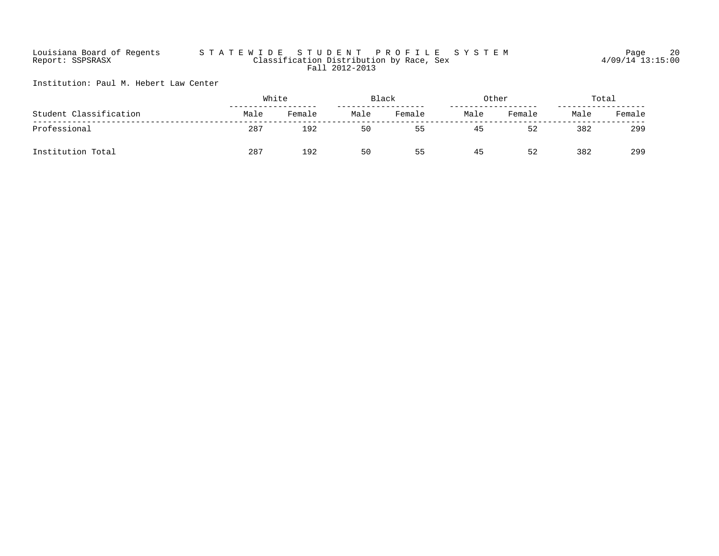# Louisiana Board of Regents S T A T E W I D E S T U D E N T P R O F I L E S Y S T E M Page 20 Report: SSPSRASX Classification Distribution by Race, Sex 4/09/14 13:15:00 Fall 2012-2013

Institution: Paul M. Hebert Law Center

| Student Classification |      | White  |      | Black  |      | Other  |      | Total  |  |
|------------------------|------|--------|------|--------|------|--------|------|--------|--|
|                        | Male | Female | Male | Female | Male | Female | Male | Female |  |
| Professional           | 287  | 192    | 50   | 55     | 45   | 52     | 382  | 299    |  |
| Institution Total      | 287  | 192    | 50   | 55     | 45   | 52     | 382  | 299    |  |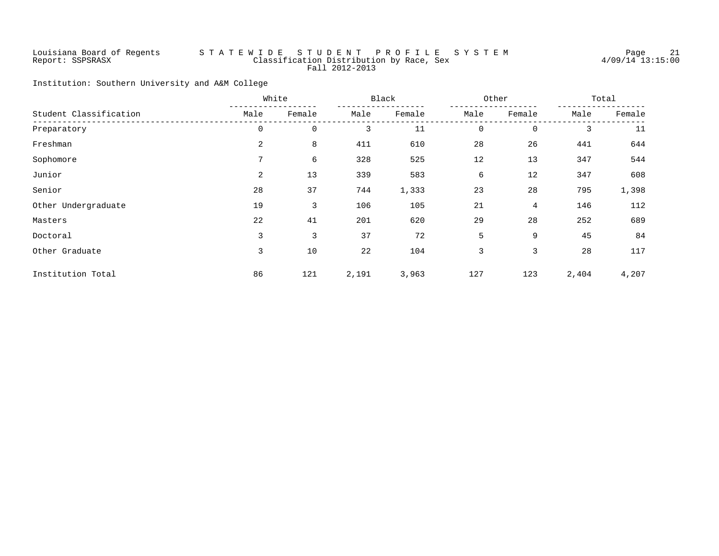# Louisiana Board of Regents S T A T E W I D E S T U D E N T P R O F I L E S Y S T E M Page 21 Report: SSPSRASX Classification Distribution by Race, Sex 4/09/14 13:15:00 Fall 2012-2013

Institution: Southern University and A&M College

|                        |                | White<br>Black |       |        |             | Other       | Total |        |
|------------------------|----------------|----------------|-------|--------|-------------|-------------|-------|--------|
| Student Classification | Male           | Female         | Male  | Female | Male        | Female      | Male  | Female |
| Preparatory            | 0              | $\mathbf 0$    | 3     | 11     | $\mathbf 0$ | $\mathbf 0$ | 3     | 11     |
| Freshman               | 2              | 8              | 411   | 610    | 28          | 26          | 441   | 644    |
| Sophomore              | 7              | 6              | 328   | 525    | 12          | 13          | 347   | 544    |
| Junior                 | $\overline{a}$ | 13             | 339   | 583    | 6           | 12          | 347   | 608    |
| Senior                 | 28             | 37             | 744   | 1,333  | 23          | 28          | 795   | 1,398  |
| Other Undergraduate    | 19             | 3              | 106   | 105    | 21          | 4           | 146   | 112    |
| Masters                | 22             | 41             | 201   | 620    | 29          | 28          | 252   | 689    |
| Doctoral               | 3              | 3              | 37    | 72     | 5           | 9           | 45    | 84     |
| Other Graduate         | 3              | 10             | 22    | 104    | 3           | 3           | 28    | 117    |
| Institution Total      | 86             | 121            | 2,191 | 3,963  | 127         | 123         | 2,404 | 4,207  |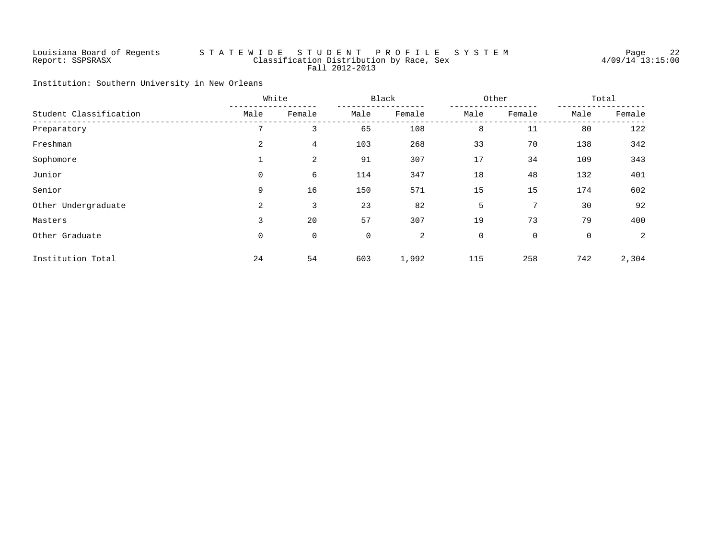# Louisiana Board of Regents S T A T E W I D E S T U D E N T P R O F I L E S Y S T E M Page 22 Report: SSPSRASX Classification Distribution by Race, Sex 4/09/14 13:15:00 Fall 2012-2013

Institution: Southern University in New Orleans

|                        |      | White<br>Black |      |        | Other |             | Total        |        |
|------------------------|------|----------------|------|--------|-------|-------------|--------------|--------|
| Student Classification | Male | Female         | Male | Female | Male  | Female      | Male         | Female |
| Preparatory            | 7    | 3              | 65   | 108    | 8     | 11          | 80           | 122    |
| Freshman               | 2    | 4              | 103  | 268    | 33    | 70          | 138          | 342    |
| Sophomore              |      | 2              | 91   | 307    | 17    | 34          | 109          | 343    |
| Junior                 | 0    | 6              | 114  | 347    | 18    | 48          | 132          | 401    |
| Senior                 | 9    | 16             | 150  | 571    | 15    | 15          | 174          | 602    |
| Other Undergraduate    | 2    | 3              | 23   | 82     | 5     | 7           | 30           | 92     |
| Masters                | 3    | 20             | 57   | 307    | 19    | 73          | 79           | 400    |
| Other Graduate         | 0    | 0              | 0    | 2      | 0     | $\mathbf 0$ | $\mathsf{O}$ | 2      |
| Institution Total      | 24   | 54             | 603  | 1,992  | 115   | 258         | 742          | 2,304  |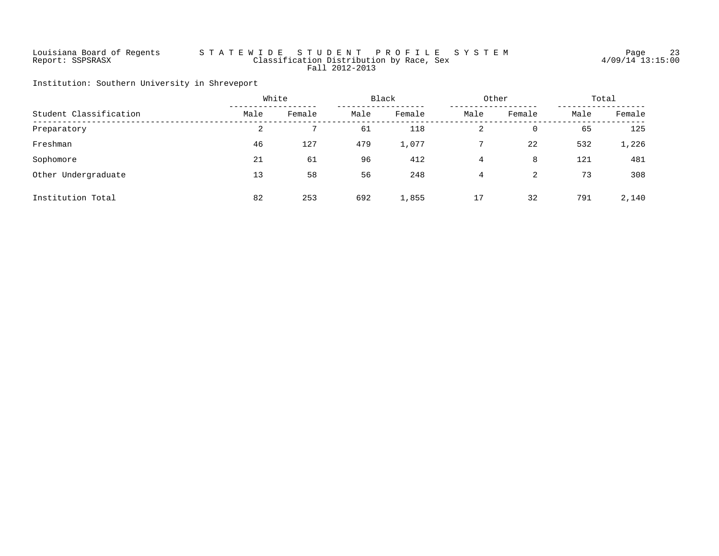# Louisiana Board of Regents S T A T E W I D E S T U D E N T P R O F I L E S Y S T E M Page 23 Report: SSPSRASX Classification Distribution by Race, Sex 4/09/14 13:15:00 Fall 2012-2013

Institution: Southern University in Shreveport

|                        |      | White  |      | Black<br>Other |      |        | Total |        |
|------------------------|------|--------|------|----------------|------|--------|-------|--------|
| Student Classification | Male | Female | Male | Female         | Male | Female | Male  | Female |
| Preparatory            | 2    |        | 61   | 118            | 2    | 0      | 65    | 125    |
| Freshman               | 46   | 127    | 479  | 1,077          |      | 22     | 532   | 1,226  |
| Sophomore              | 21   | 61     | 96   | 412            | 4    | 8      | 121   | 481    |
| Other Undergraduate    | 13   | 58     | 56   | 248            | 4    | 2      | 73    | 308    |
| Institution Total      | 82   | 253    | 692  | 1,855          | 17   | 32     | 791   | 2,140  |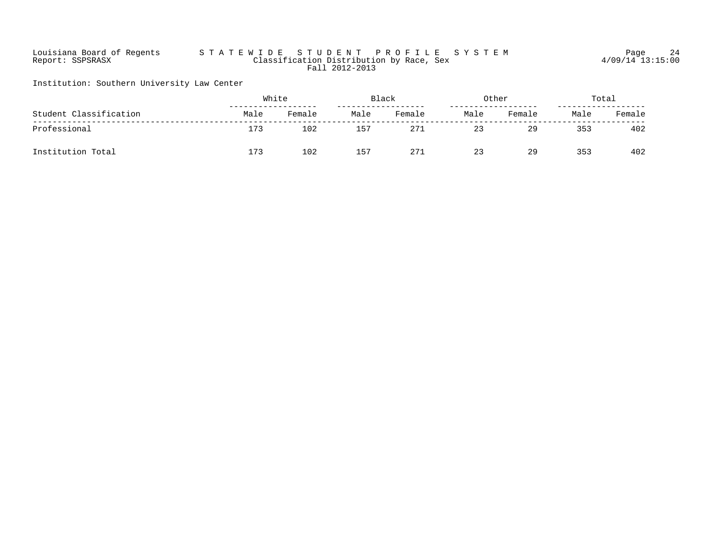# Louisiana Board of Regents S T A T E W I D E S T U D E N T P R O F I L E S Y S T E M Page 24 Report: SSPSRASX Classification Distribution by Race, Sex 4/09/14 13:15:00 Fall 2012-2013

Institution: Southern University Law Center

| Student Classification |      | White  |      | Black  |      | Other  |      | Total  |  |
|------------------------|------|--------|------|--------|------|--------|------|--------|--|
|                        | Male | Female | Male | Female | Male | Female | Male | Female |  |
| Professional           | 173  | 102    | 157  | 271    | 23   | 29     | 353  | 402    |  |
| Institution Total      | 173  | 102    | 157  | 271    | 23   | 29     | 353  | 402    |  |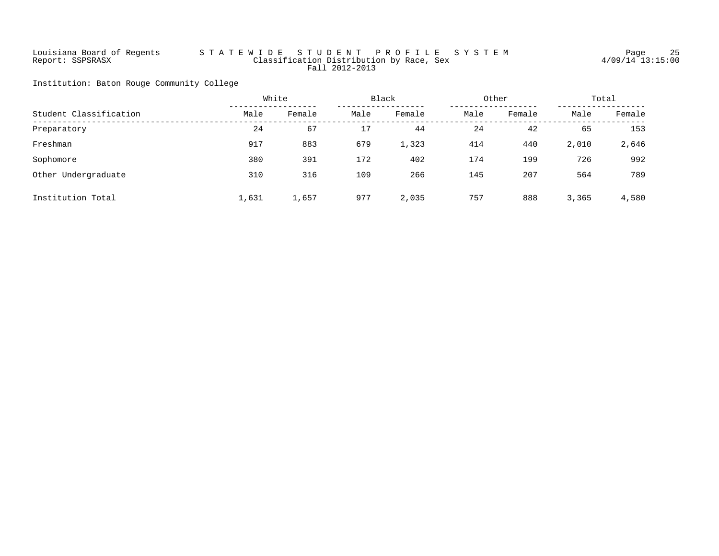# Louisiana Board of Regents S T A T E W I D E S T U D E N T P R O F I L E S Y S T E M Page 25 Report: SSPSRASX Classification Distribution by Race, Sex 4/09/14 13:15:00 Fall 2012-2013

Institution: Baton Rouge Community College

|                        |       | White  |      | Black  |      | Other  |       | Total  |  |
|------------------------|-------|--------|------|--------|------|--------|-------|--------|--|
| Student Classification | Male  | Female | Male | Female | Male | Female | Male  | Female |  |
| Preparatory            | 24    | 67     | 17   | 44     | 24   | 42     | 65    | 153    |  |
| Freshman               | 917   | 883    | 679  | 1,323  | 414  | 440    | 2,010 | 2,646  |  |
| Sophomore              | 380   | 391    | 172  | 402    | 174  | 199    | 726   | 992    |  |
| Other Undergraduate    | 310   | 316    | 109  | 266    | 145  | 207    | 564   | 789    |  |
| Institution Total      | 1,631 | 1,657  | 977  | 2,035  | 757  | 888    | 3,365 | 4,580  |  |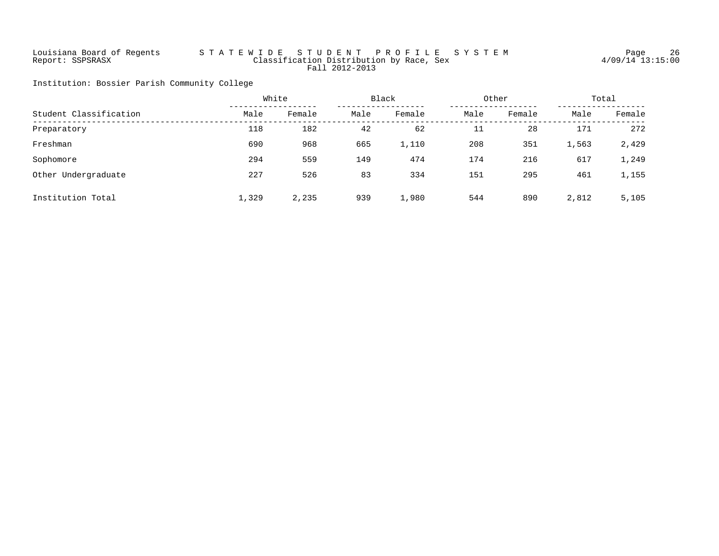# Louisiana Board of Regents S T A T E W I D E S T U D E N T P R O F I L E S Y S T E M Page 26 Report: SSPSRASX Classification Distribution by Race, Sex 4/09/14 13:15:00 Fall 2012-2013

Institution: Bossier Parish Community College

|                        | White |        | Black |        | Other |        | Total |        |
|------------------------|-------|--------|-------|--------|-------|--------|-------|--------|
| Student Classification | Male  | Female | Male  | Female | Male  | Female | Male  | Female |
| Preparatory            | 118   | 182    | 42    | 62     | 11    | 28     | 171   | 272    |
| Freshman               | 690   | 968    | 665   | 1,110  | 208   | 351    | 1,563 | 2,429  |
| Sophomore              | 294   | 559    | 149   | 474    | 174   | 216    | 617   | 1,249  |
| Other Undergraduate    | 227   | 526    | 83    | 334    | 151   | 295    | 461   | 1,155  |
| Institution Total      | 1,329 | 2,235  | 939   | 1,980  | 544   | 890    | 2,812 | 5,105  |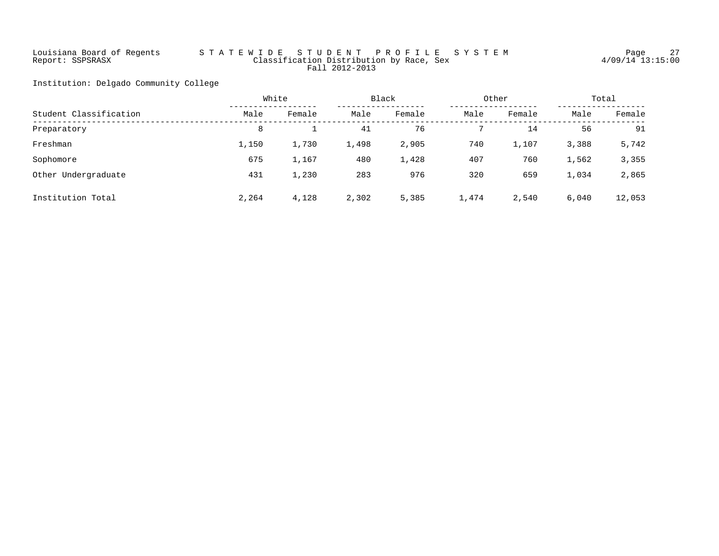# Louisiana Board of Regents S T A T E W I D E S T U D E N T P R O F I L E S Y S T E M Page 27 Report: SSPSRASX Classification Distribution by Race, Sex 4/09/14 13:15:00 Fall 2012-2013

Institution: Delgado Community College

|                        |       | White  |       | Black  |       | Other  |       | Total  |  |
|------------------------|-------|--------|-------|--------|-------|--------|-------|--------|--|
| Student Classification | Male  | Female | Male  | Female | Male  | Female | Male  | Female |  |
| Preparatory            | 8     |        | 41    | 76     |       | 14     | 56    | 91     |  |
| Freshman               | 1,150 | 1,730  | 1,498 | 2,905  | 740   | 1,107  | 3,388 | 5,742  |  |
| Sophomore              | 675   | 1,167  | 480   | 1,428  | 407   | 760    | 1,562 | 3,355  |  |
| Other Undergraduate    | 431   | 1,230  | 283   | 976    | 320   | 659    | 1,034 | 2,865  |  |
| Institution Total      | 2,264 | 4,128  | 2,302 | 5,385  | 1,474 | 2,540  | 6.040 | 12,053 |  |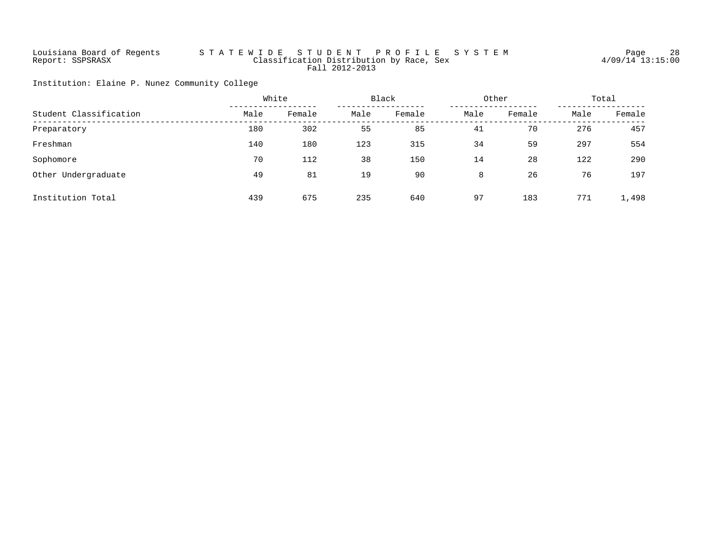# Louisiana Board of Regents S T A T E W I D E S T U D E N T P R O F I L E S Y S T E M Page 28 Report: SSPSRASX Classification Distribution by Race, Sex 4/09/14 13:15:00 Fall 2012-2013

Institution: Elaine P. Nunez Community College

|                        |      | White  |      | Black  |      | Other  |      | Total  |  |
|------------------------|------|--------|------|--------|------|--------|------|--------|--|
| Student Classification | Male | Female | Male | Female | Male | Female | Male | Female |  |
| Preparatory            | 180  | 302    | 55   | 85     | 41   | 70     | 276  | 457    |  |
| Freshman               | 140  | 180    | 123  | 315    | 34   | 59     | 297  | 554    |  |
| Sophomore              | 70   | 112    | 38   | 150    | 14   | 28     | 122  | 290    |  |
| Other Undergraduate    | 49   | 81     | 19   | 90     | 8    | 26     | 76   | 197    |  |
| Institution Total      | 439  | 675    | 235  | 640    | 97   | 183    | 771  | 1,498  |  |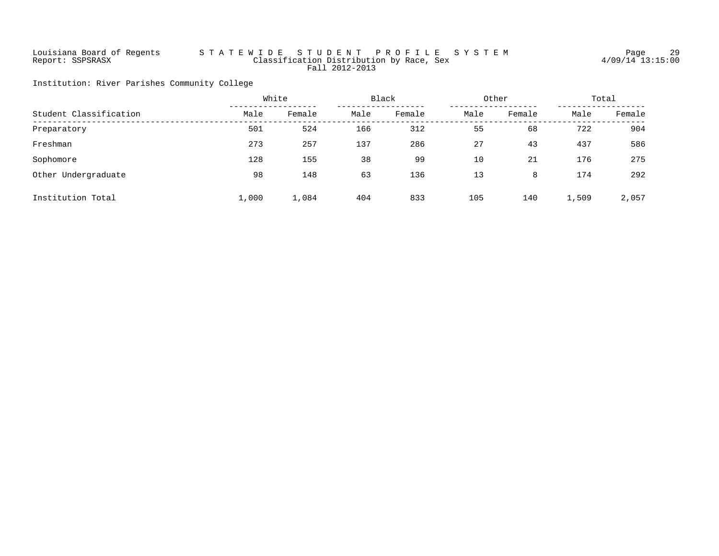# Louisiana Board of Regents S T A T E W I D E S T U D E N T P R O F I L E S Y S T E M Page 29 Report: SSPSRASX Classification Distribution by Race, Sex 4/09/14 13:15:00 Fall 2012-2013

Institution: River Parishes Community College

|                        | White |        | Black |        | Other |        | Total |        |
|------------------------|-------|--------|-------|--------|-------|--------|-------|--------|
| Student Classification | Male  | Female | Male  | Female | Male  | Female | Male  | Female |
| Preparatory            | 501   | 524    | 166   | 312    | 55    | 68     | 722   | 904    |
| Freshman               | 273   | 257    | 137   | 286    | 27    | 43     | 437   | 586    |
| Sophomore              | 128   | 155    | 38    | 99     | 10    | 21     | 176   | 275    |
| Other Undergraduate    | 98    | 148    | 63    | 136    | 13    | 8      | 174   | 292    |
| Institution Total      | 1,000 | 1,084  | 404   | 833    | 105   | 140    | 1,509 | 2,057  |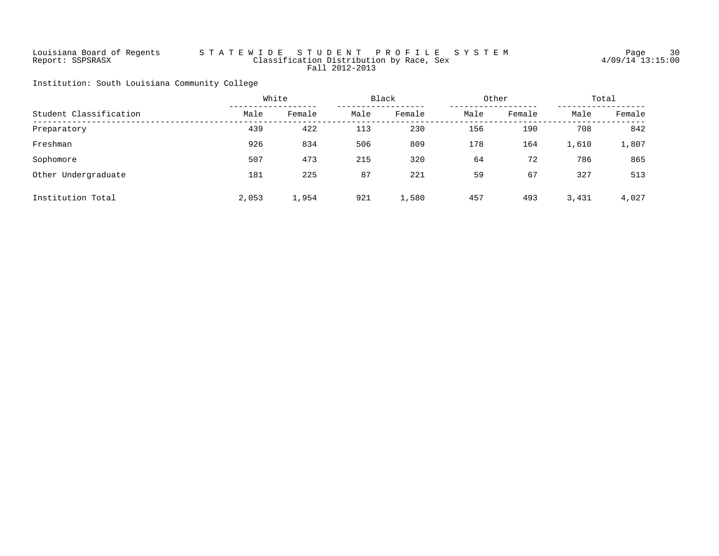# Louisiana Board of Regents S T A T E W I D E S T U D E N T P R O F I L E S Y S T E M Page 30 Report: SSPSRASX Classification Distribution by Race, Sex 4/09/14 13:15:00 Fall 2012-2013

Institution: South Louisiana Community College

|                        | White |        |      | Black  |      | Other  |       | Total  |  |
|------------------------|-------|--------|------|--------|------|--------|-------|--------|--|
| Student Classification | Male  | Female | Male | Female | Male | Female | Male  | Female |  |
| Preparatory            | 439   | 422    | 113  | 230    | 156  | 190    | 708   | 842    |  |
| Freshman               | 926   | 834    | 506  | 809    | 178  | 164    | 1,610 | 1,807  |  |
| Sophomore              | 507   | 473    | 215  | 320    | 64   | 72     | 786   | 865    |  |
| Other Undergraduate    | 181   | 225    | 87   | 221    | 59   | 67     | 327   | 513    |  |
| Institution Total      | 2,053 | 1,954  | 921  | 1,580  | 457  | 493    | 3,431 | 4,027  |  |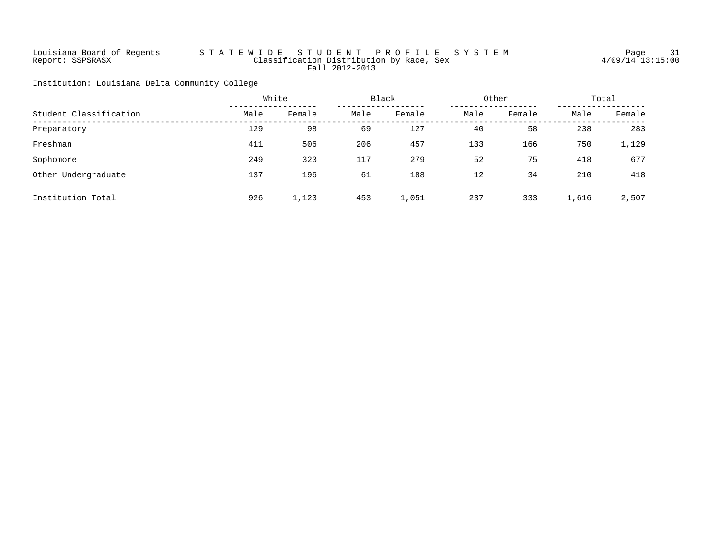# Louisiana Board of Regents S T A T E W I D E S T U D E N T P R O F I L E S Y S T E M Page 31 Report: SSPSRASX Classification Distribution by Race, Sex 4/09/14 13:15:00 Fall 2012-2013

Institution: Louisiana Delta Community College

|                        | White |        |      | Black  |      | Other  |       | Total  |  |
|------------------------|-------|--------|------|--------|------|--------|-------|--------|--|
| Student Classification | Male  | Female | Male | Female | Male | Female | Male  | Female |  |
| Preparatory            | 129   | 98     | 69   | 127    | 40   | 58     | 238   | 283    |  |
| Freshman               | 411   | 506    | 206  | 457    | 133  | 166    | 750   | 1,129  |  |
| Sophomore              | 249   | 323    | 117  | 279    | 52   | 75     | 418   | 677    |  |
| Other Undergraduate    | 137   | 196    | 61   | 188    | 12   | 34     | 210   | 418    |  |
| Institution Total      | 926   | 1,123  | 453  | 1,051  | 237  | 333    | 1,616 | 2,507  |  |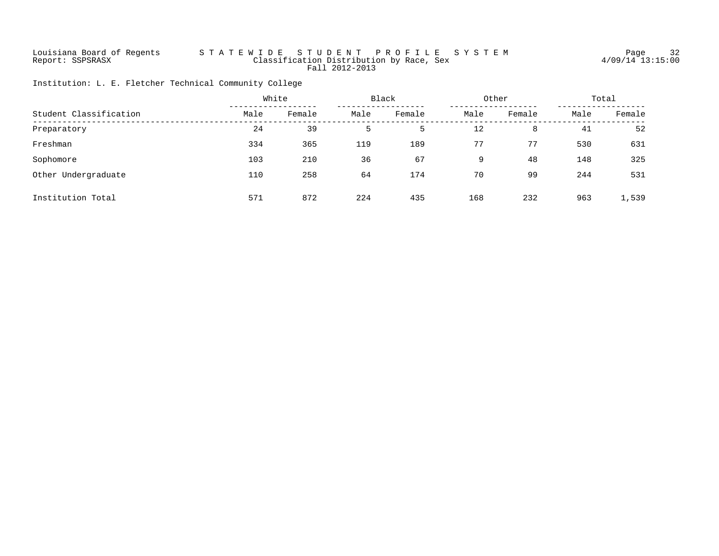# Louisiana Board of Regents S T A T E W I D E S T U D E N T P R O F I L E S Y S T E M Page 32 Report: SSPSRASX Classification Distribution by Race, Sex 4/09/14 13:15:00 Fall 2012-2013

Institution: L. E. Fletcher Technical Community College

|                        |      | White  |      | Black  |      | Other  |      | Total  |  |
|------------------------|------|--------|------|--------|------|--------|------|--------|--|
| Student Classification | Male | Female | Male | Female | Male | Female | Male | Female |  |
| Preparatory            | 24   | 39     | 5    | 5      | 12   | 8      | 41   | 52     |  |
| Freshman               | 334  | 365    | 119  | 189    | 77   | 77     | 530  | 631    |  |
| Sophomore              | 103  | 210    | 36   | 67     | 9    | 48     | 148  | 325    |  |
| Other Undergraduate    | 110  | 258    | 64   | 174    | 70   | 99     | 244  | 531    |  |
| Institution Total      | 571  | 872    | 224  | 435    | 168  | 232    | 963  | 1,539  |  |